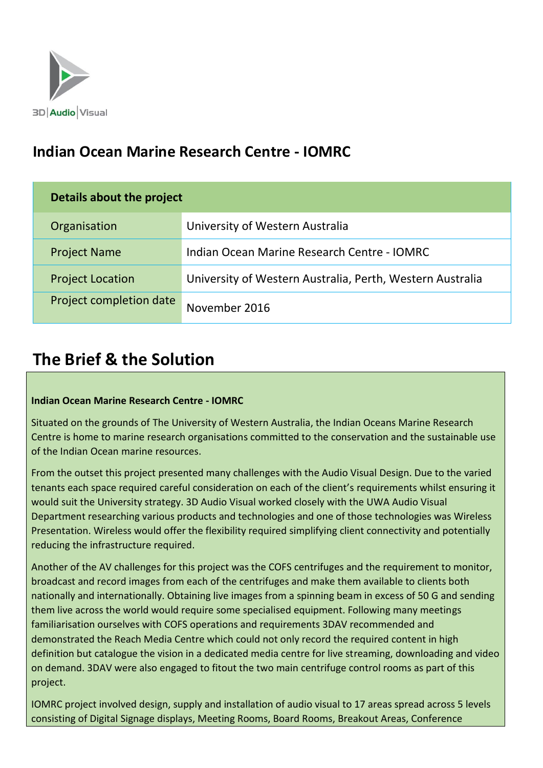

## **Indian Ocean Marine Research Centre - IOMRC**

| Details about the project |                                                           |
|---------------------------|-----------------------------------------------------------|
| Organisation              | University of Western Australia                           |
| <b>Project Name</b>       | Indian Ocean Marine Research Centre - IOMRC               |
| <b>Project Location</b>   | University of Western Australia, Perth, Western Australia |
| Project completion date   | November 2016                                             |

# **The Brief & the Solution**

### **Indian Ocean Marine Research Centre - IOMRC**

Situated on the grounds of The University of Western Australia, the Indian Oceans Marine Research Centre is home to marine research organisations committed to the conservation and the sustainable use of the Indian Ocean marine resources.

From the outset this project presented many challenges with the Audio Visual Design. Due to the varied tenants each space required careful consideration on each of the client's requirements whilst ensuring it would suit the University strategy. 3D Audio Visual worked closely with the UWA Audio Visual Department researching various products and technologies and one of those technologies was Wireless Presentation. Wireless would offer the flexibility required simplifying client connectivity and potentially reducing the infrastructure required.

Another of the AV challenges for this project was the COFS centrifuges and the requirement to monitor, broadcast and record images from each of the centrifuges and make them available to clients both nationally and internationally. Obtaining live images from a spinning beam in excess of 50 G and sending them live across the world would require some specialised equipment. Following many meetings familiarisation ourselves with COFS operations and requirements 3DAV recommended and demonstrated the Reach Media Centre which could not only record the required content in high definition but catalogue the vision in a dedicated media centre for live streaming, downloading and video on demand. 3DAV were also engaged to fitout the two main centrifuge control rooms as part of this project.

IOMRC project involved design, supply and installation of audio visual to 17 areas spread across 5 levels consisting of Digital Signage displays, Meeting Rooms, Board Rooms, Breakout Areas, Conference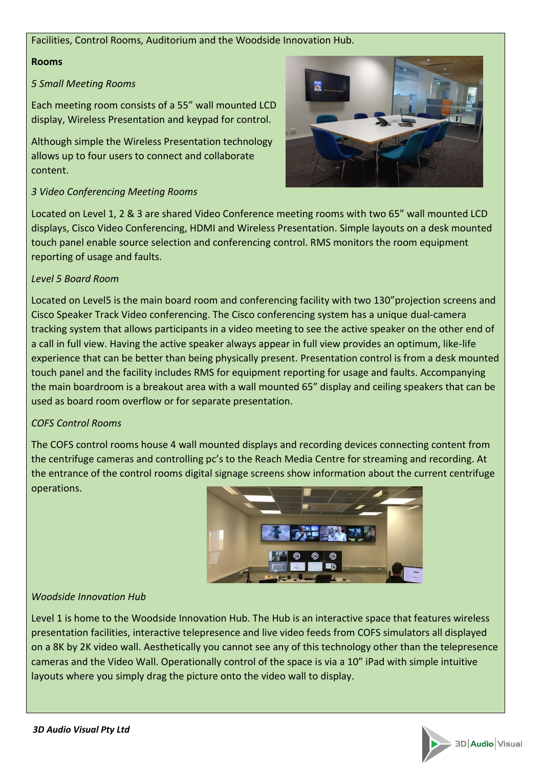#### Facilities, Control Rooms, Auditorium and the Woodside Innovation Hub.

#### **Rooms**

#### *5 Small Meeting Rooms*

Each meeting room consists of a 55" wall mounted LCD display, Wireless Presentation and keypad for control.

Although simple the Wireless Presentation technology allows up to four users to connect and collaborate content.

### *3 Video Conferencing Meeting Rooms*

Located on Level 1, 2 & 3 are shared Video Conference meeting rooms with two 65" wall mounted LCD displays, Cisco Video Conferencing, HDMI and Wireless Presentation. Simple layouts on a desk mounted touch panel enable source selection and conferencing control. RMS monitors the room equipment reporting of usage and faults.

### *Level 5 Board Room*

Located on Level5 is the main board room and conferencing facility with two 130"projection screens and Cisco Speaker Track Video conferencing. The Cisco conferencing system has a unique dual-camera tracking system that allows participants in a video meeting to see the active speaker on the other end of a call in full view. Having the active speaker always appear in full view provides an optimum, like-life experience that can be better than being physically present. Presentation control is from a desk mounted touch panel and the facility includes RMS for equipment reporting for usage and faults. Accompanying the main boardroom is a breakout area with a wall mounted 65" display and ceiling speakers that can be used as board room overflow or for separate presentation.

### *COFS Control Rooms*

The COFS control rooms house 4 wall mounted displays and recording devices connecting content from the centrifuge cameras and controlling pc's to the Reach Media Centre for streaming and recording. At the entrance of the control rooms digital signage screens show information about the current centrifuge operations.



### *Woodside Innovation Hub*

Level 1 is home to the Woodside Innovation Hub. The Hub is an interactive space that features wireless presentation facilities, interactive telepresence and live video feeds from COFS simulators all displayed on a 8K by 2K video wall. Aesthetically you cannot see any of this technology other than the telepresence cameras and the Video Wall. Operationally control of the space is via a 10" iPad with simple intuitive layouts where you simply drag the picture onto the video wall to display.



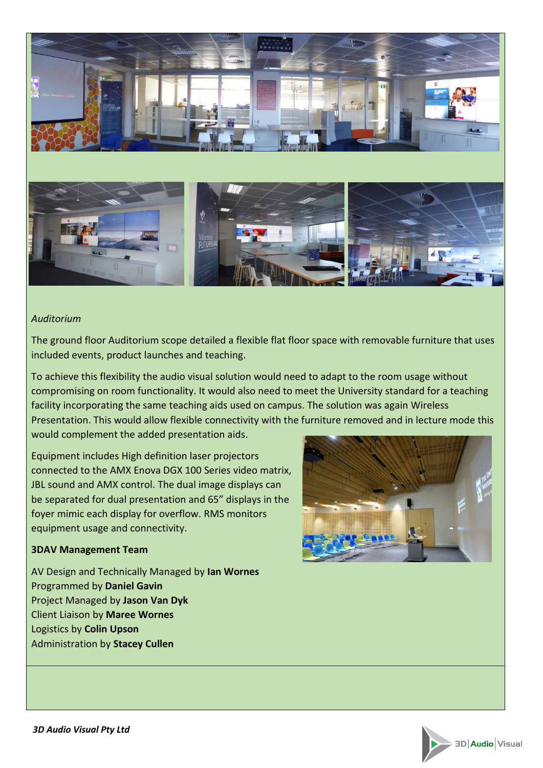

#### *Auditorium*

The ground floor Auditorium scope detailed a flexible flat floor space with removable furniture that uses included events, product launches and teaching.

To achieve this flexibility the audio visual solution would need to adapt to the room usage without compromising on room functionality. It would also need to meet the University standard for a teaching facility incorporating the same teaching aids used on campus. The solution was again Wireless Presentation. This would allow flexible connectivity with the furniture removed and in lecture mode this would complement the added presentation aids.

Equipment includes High definition laser projectors connected to the AMX Enova DGX 100 Series video matrix, JBL sound and AMX control. The dual image displays can be separated for dual presentation and 65" displays in the foyer mimic each display for overflow. RMS monitors equipment usage and connectivity.

#### **3DAV Management Team**

AV Design and Technically Managed by **Ian Wornes** Programmed by **Daniel Gavin** Project Managed by **Jason Van Dyk** Client Liaison by **Maree Wornes** Logistics by **Colin Upson** Administration by **Stacey Cullen**



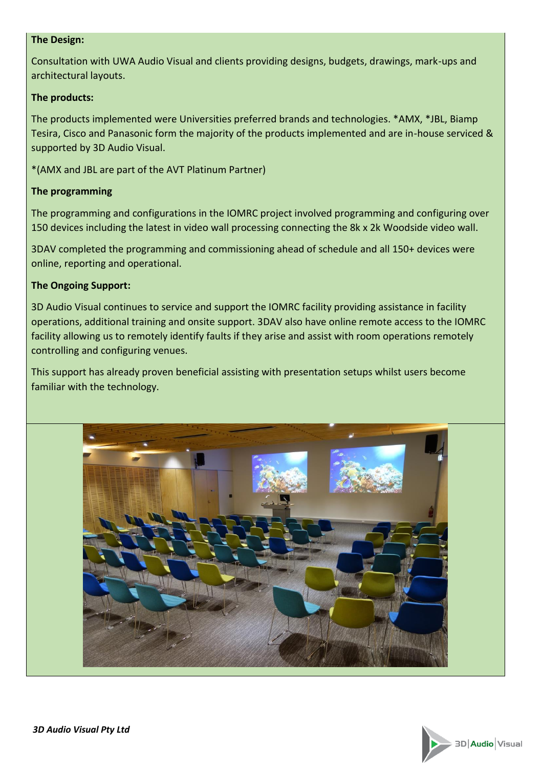#### **The Design:**

Consultation with UWA Audio Visual and clients providing designs, budgets, drawings, mark-ups and architectural layouts.

### **The products:**

The products implemented were Universities preferred brands and technologies. \*AMX, \*JBL, Biamp Tesira, Cisco and Panasonic form the majority of the products implemented and are in-house serviced & supported by 3D Audio Visual.

\*(AMX and JBL are part of the AVT Platinum Partner)

## **The programming**

The programming and configurations in the IOMRC project involved programming and configuring over 150 devices including the latest in video wall processing connecting the 8k x 2k Woodside video wall.

3DAV completed the programming and commissioning ahead of schedule and all 150+ devices were online, reporting and operational.

## **The Ongoing Support:**

3D Audio Visual continues to service and support the IOMRC facility providing assistance in facility operations, additional training and onsite support. 3DAV also have online remote access to the IOMRC facility allowing us to remotely identify faults if they arise and assist with room operations remotely controlling and configuring venues.

This support has already proven beneficial assisting with presentation setups whilst users become familiar with the technology.